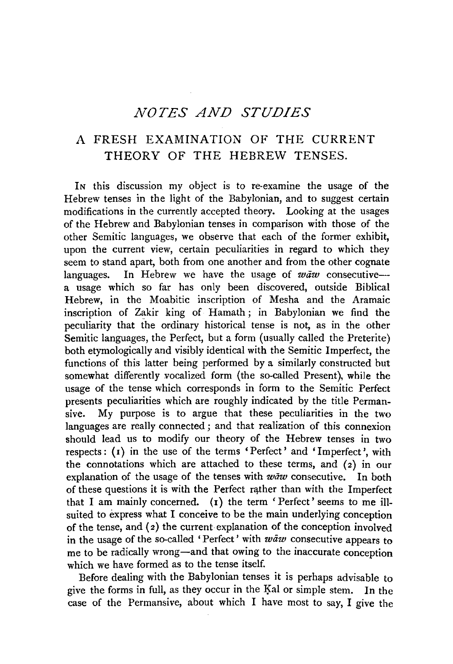## *NOTES AND STUDIES*

## A FRESH EXAMINATION OF THE CURRENT THEORY OF THE HEBREW TENSES.

IN this discussion my object is to re-examine the usage of the Hebrew tenses in the light of the Babylonian, and to suggest certain modifications in the currently accepted theory. Looking at the usages of the Hebrew and Babylonian tenses in comparison with those of the other Semitic languages, we observe that each of the former exhibit, upon the current view, certain peculiarities in regard to which they seem to stand apart, both from one another and from the other cognate languages. In Hebrew we have the usage of  $waw$  consecutivea usage which so far has only been discovered, outside Biblical Hebrew, in the Moabitic inscription of Mesha and the Aramaic inscription of Zakir king of Hamath ; in Babylonian we find the peculiarity that the ordinary historical tense is not, as in the other Semitic languages, the Perfect, but a form (usually called the Preterite) both etymologically and visibly identical with the Semitic Imperfect, the functions of this latter being performed by a similarly constructed but somewhat differently vocalized form (the so-called Present), while the usage of the tense which corresponds in form to the Semitic Perfect presents peculiarities which are roughly indicated by the title Permansive. My purpose is to argue that these peculiarities in the two languages are really connected ; and that realization of this connexion should lead us to modify our theory of the Hebrew tenses in two respects: (r) in the use of the terms 'Perfect' and 'Imperfect', with the connotations which are attached to these terms, and (2) in our explanation of the usage of the tenses with  $w \bar{a} w$  consecutive. In both of these questions it is with the Perfect rather than with the Imperfect that I am mainly concerned. (1) the term 'Perfect' seems to me illsuited to express what I conceive to be the main underlying conception of the tense, and (2) the current explanation of the conception involved in the usage of the so-called 'Perfect' with  $w \bar{a} w$  consecutive appears to me to be radically wrong-and that owing to the inaccurate conception which we have formed as to the tense itself.

Before dealing with the Babylonian tenses it is perhaps advisable to give the forms in full, as they occur in the I}al or simple stem. In the case of the Permansive, about which I have most to say, I give the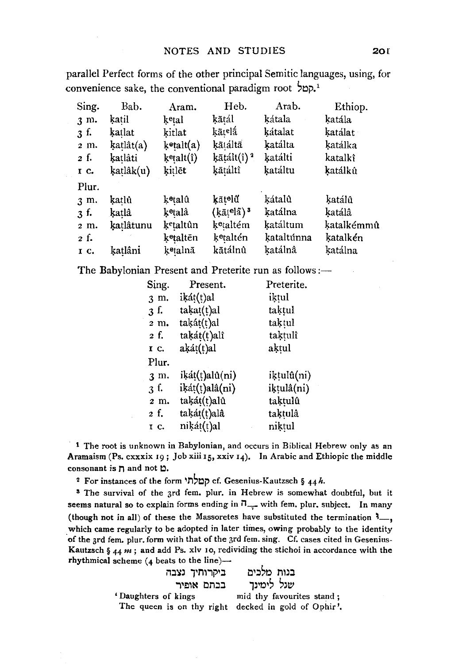parallel Perfect forms of the other principal Semitic languages, using, for convenience sake, the conventional paradigm root '<sub>-</sub>

| Sing. | Bab.      | Aram.                 | Heb.                   | Arab.      | Ethiop.    |
|-------|-----------|-----------------------|------------------------|------------|------------|
| 3 m.  | katil     | ketal                 | kātál                  | kátala     | katála     |
| 3 f.  | katlat    | kitlat                | kātelá                 | kátalat    | katálat -  |
| 2 m.  | katlât(a) | kotalt(a)             | kātáltā                | katálta    | katálka    |
| 2 f.  | katlâti   | ketalt(î)             | ķātált(î) ª            | katálti    | katalkî    |
| I C.  | ķaṭlâk(u) | kitlēt                | kātáltî                | katáltu    | katálkû    |
| Plur. |           |                       |                        |            |            |
| 3 m.  | katlû     | ketalû                | kāt∘lű                 | kátalû     | katálû     |
| 3 f.  | katlâ     | k <sup>e</sup> talâ   | $(k\bar{a}$ telã) $^3$ | katálna    | katálâ     |
| 2 m.  | katlâtunu | k <sup>e</sup> taltûn | k <sup>e</sup> taltém  | katáltum   | katalkémmû |
| 2 f.  |           | k <sup>e</sup> taltēn | ketaltén               | kataltúnna | katalkén   |
| IC.   | katlâni   | k⊕talnā               | kātálnû                | katálnâ    | katálna    |

The Babylonian Present and Preterite run as follows :-

| Sing.             | Present.       | Preterite. |
|-------------------|----------------|------------|
| 3 m.              | ikát(t)al      | iktul      |
| 3f.               | takat(t)al     | taktul     |
| 2 m.              | taķát(t)al     | taktul     |
| 2 f.              | takát(t)alî    | taktulî    |
| IC.               | aķát(t)al      | aķtul      |
| Plur.             |                |            |
| 3 m.              | ikát(t)alû(ni) | iķṭulû(ni) |
| $\mathfrak{Z}$ f. | iķát(t)alâ(ni) | iķtulâ(ni) |
| 2 m.              | takát(t)alû    | taķtulû    |
| 2 f.              | taķát(t)alâ    | taķtulâ    |
| 1 с.              | niķát(t)al     | niktul     |

<sup>1</sup> The root is unknown in Babylonian, and occurs in Biblical Hebrew only as an Aramaism (Ps. cxxxix 19; Job xiii 15, xxiv 14). In Arabic and Ethiopic the middle consonant is  $\eta$  and not  $\Delta$ .

2 For instances of the form קמלתי cf. Gesenius-Kautzsch § 44h.

s The survival of the 3rd fem. plur. in Hebrew is somewhat doubtful, but it seems natural so to explain forms ending in  $\overline{1}_{++}$  with fem. plur. subject. In many (though not in all) of these the Massoretes have substituted the termination  $\mathcal{F}_{-}$ , which came regularly to be adopted in later times, owing probably to the identity ·of the 3rd fern. plur. form with that of the 3rd fem. sing. Cf. cases cited in Gesenius-Kautzsch §  $44 m$ ; and add Ps. xlv 10, redividing the stichoi in accordance with the rhythmical scheme  $(4 \text{ beats to the line})$ --

| ביקרותיך נצבה                                       | בנות מלכים                |
|-----------------------------------------------------|---------------------------|
| בכתם אופיר                                          | שגל לימינד                |
| Daughters of kings                                  | mid thy favourites stand; |
| The queen is on thy right decked in gold of Ophir'. |                           |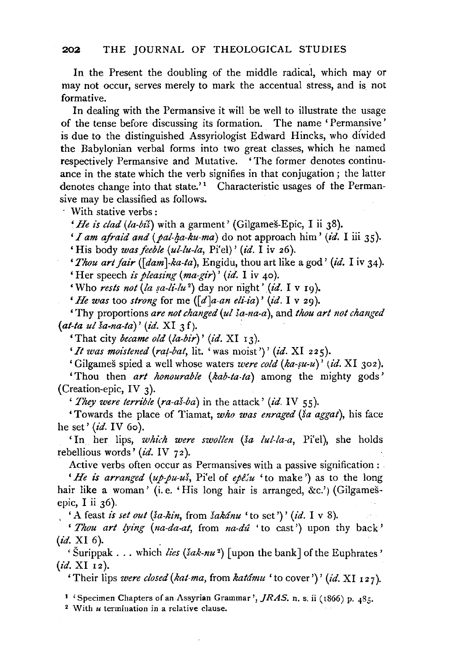In the Present the doubling of the middle radical, which may or may not occur, serves merely to mark the accentual stress, and is not formative.

In dealing with the Permansive it will be well to illustrate the usage of the tense before discussing its formation. The name 'Permansive' is due to the distinguished Assyriologist Edward Hincks, who divided the Babylonian verbal forms into two great classes, which he named respectively Permansive and Mutative. 'The former denotes continuance in the state which the verb signifies in that conjugation; the latter denotes change into that state.'<sup>1</sup> Characteristic usages of the Permansive may be classified as follows.

With stative verbs :

*' He is clad (la-biš)* with a garment' (Gilgameš-Epic, I ii 38).

*'I am afraid and (pal-ha-ku-ma)* do not approach him' *(id.* I iii 35).

'His body *was feeble (ul-lu-la,* Pi'el)' *(id.* I iv 26).

*'Tlwu art fair ([dam ]-ka-ta),* Engidu, thou art like a god' *(id.* I iv 34).

'Her speech *is pleasing (ma-gir)' (id.* I iv 40).

'Who *rests not (la fa-li'-lu* <sup>2</sup> ) day nor riight' *(id.* I v rg).

*'He was* too *strong* for me *([d]a-an eli-ia)' (id.* I v 29).

'Thy proportions *are not changed (ul !a-na-a),* and *thou art not changed*  (at-ta ul ša-na-ta)' (id. XI 3f).

'That city *became old (la-bir)' (id.* XI 13).

*'It was moistened (rat-bat,* lit. 'was moist')' *(id.* XI 225).

'Gilgames spied a well whose waters *were cold (ka-su-u)' (id.* XI 302).

'Thou then *art lwnourable (kab-ta-ta)* among the mighty gods' (Creation-epic, IV 3).

*' They were terrible (ra-aš-ba)* in the attack' *(id. IV 55)*.

'Towards the place of Tiamat, *who was enraged (sa aggat),* his face he set' *(id.* IV 60).

'In her lips, *which were swollen (Sa lul-la-a,* Pi'el), she holds rebellious words' *(id.* IV 72).

Active verbs often occur as Permansives with a passive signification :

*'He is arranged (up-pu-us, Pi'el of epesu* 'to make') as to the long hair like a woman' (i.e. 'His long hair is arranged, &c.') (Gilgamesepic, I ii 36).

'A feast *is set out* (*ša-kin*, from *šakánu* 'to set')' (*id.* I v 8).

' *Thou art lying (na-da-at,* from *na-du* 'to cast') upon thy back' (*id.* XI 6).

 $\lq$ <sup>'</sup> Šurippak . . . which *lies* (*šak-nu*<sup>2</sup>) [upon the bank] of the Euphrates' *(id.* XI 12).

'Their lips *were closed (kat-ma, from katámu* 'to cover')' *(id.* XI 127).

1 'Specimen Chapters of an Assyrian Grammar', *]RAS.* n. s. ii ( 1866) p. 485. 2 With *u* termination in a relative clause.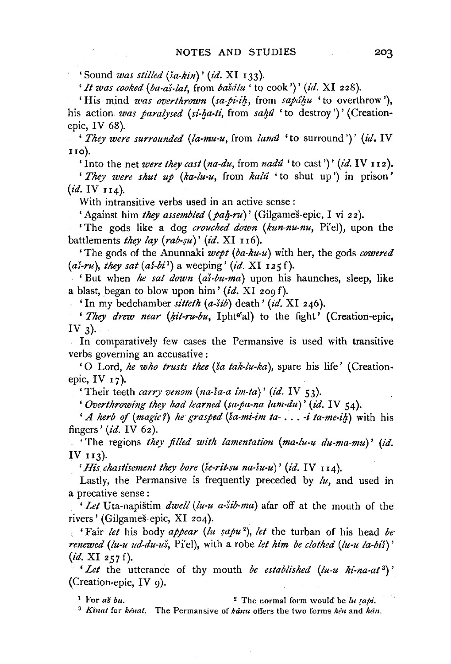'Sound *was stilled (Ja-kin)'* (id. XI 133).

*'It was cooked (ba·as-lat,* from *baSdlu* 'to cook')' *(id.* XI 228).

'His mind *was overthrown* (sa-pi-ih, from sapáhu 'to overthrow'), his action *was paralysed (si-ha-ti*, from *saha* 'to destroy')' (Creationepic, IV 68).

' *They were surrounded (la-mu-u,* from *lamiJ* 'to surround')' *(id.* IV uo).

'Into the net *were they cast (na-du,* from *nadu* 'to cast')' *(id.* IV 112 ).

' *They were shut up (ka-lu-u,* from *kalti* 'to shut up') in prison' *(id.* IV II4).

With intransitive verbs used in an active sense:

'Against him *they assembled (pah-ru)'* (Gilgameš-epic, I vi 22).

'The gods like a dog *crouched down (kun-nu-nu,* Pi'el), upon the battlements *they lay (rab-su)' (id.* XI 116).

'The gods of the Anunnaki *wept (ba-ku-u)* with her, the gods *cowered (aX-ru), they sat (as-bi* <sup>1</sup> ) a weeping' *(id.* XI I 25 f).

'But when *he sat down (as-bu-ma)* upon his haunches, sleep, like a blast, began to blow upon him' *(id.* XI 209 f).

'In my bedchamber *sitteth (a-Sib)* death' *(id.* XI 246).

' *They drew near (kit-ru-bu*, Iphte'al) to the fight' (Creation-epic, IV  $3$ ).

In comparatively few cases the Permansive is used with transitive verbs governing an accusative :

'0 Lord, *he who trusts thee (Sa tak-lu-ka* ), spare his life' (Creationepic, IV  $17$ ).

'Their teeth *carry venom (na-sa-a im-ta)' (id.* IV 53).

*'Overthrowing they had learned (sa-pa-na lam-du)' (id.* IV 54).

*'A herb of (magic?) he grasped (sa-mi-im ta-* ... -*i ta-me-ih)* with his fingers' *(id.* IV 62 ).

'The regions *they filled with lamentation* (ma-lu-u du-ma-mu)' (id. IV  $113$ ).

 $'$ *His chastisement they bore (se-rit-su na-su-u)' (id.* IV  $_{114}$ ).

Lastly, the Permansive is frequently preceded by *lu,* and used in a precative sense :

*'Let* Uta-napištim *dwell* (lu-u a-šib-ma) afar off at the mouth of the rivers' (Gilgames-epic, XI 204).

: 'Fair *let* his body *appear (lu {apze* <sup>2</sup> ), *let* the turban of his head *be renewed (lu-u ud-du-us,* Pi'el), with a robe *let him be clothed (lu-u la-bis)' (id.* XI *257* f).

*'Let* the utterance of thy mouth *be established (lu-u ki-na-at* 3) ' {Creation-epic, IV 9).

<sup>1</sup> For *as bu*.  $\frac{2}{\pi}$  The normal form would be *lu sapi*.

<sup>3</sup> Kinat for *kenat*. The Permansive of *kanu* offers the two forms *ken* and *kan*.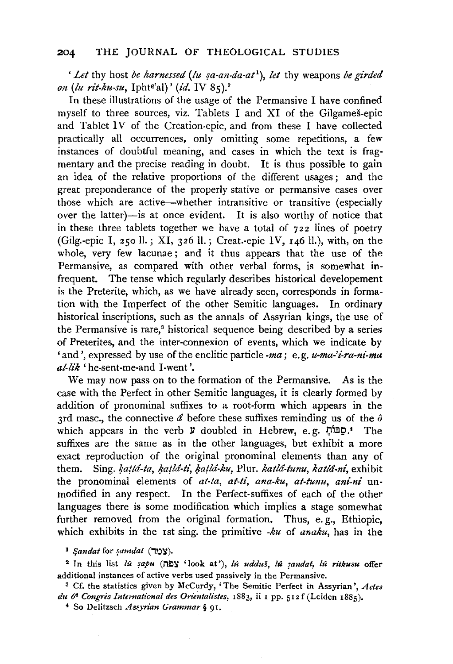*'Let* thy host *be harnessed (lu sa-an-da-at<sup>1</sup>)*, *let* thy weapons *be girded on (lu rit-ku-su,* Iphte'al)' *(id.* IV 85).2

In these illustrations of the usage of the Permansive I have confined myself to three sources, viz. Tablets I and XI of the Gilgames-epic and Tablet IV of the Creation-epic, and from these I have collected practically all occurrences, only omitting some repetitions, a few instances of doubtful meaning, and cases in which the text is fragmentary and the precise reading in doubt. It is thus possible to gain an idea of the relative proportions of the different usages; and the great preponderance of the properly stative or permansive cases over those which are active-whether intransitive or transitive (especially over the latter)-is at once evident. It is also worthy of notice that in these three tablets together we have a total of  $722$  lines of poetry (Gilg.-epic I, 250 ll.; XI, 326 ll.; Creat.-epic IV,  $146$  ll.), with, on the whole, very few lacunae; and it thus appears that the use of the Permansive, as compared with other verbal forms, is somewhat infrequent. The tense which regularly describes historical developement is the Preterite, which, as we have already seen, corresponds in formation with the Imperfect of the other Semitic languages. In ordinary historical inscriptions, such as the annals of Assyrian kings, the use of the Permansive is rare,<sup>3</sup> historical sequence being described by a series of Preterites, and the inter-connexion of events, which we indicate by 'and', expressed by use of the enclitic particle *-ma;* e. g. *u-ma-'i-ra-ni-ma al-lik* 'he-sent-me-and I-went '.

We may now pass on to the formation of the Permansive. As is the case with the Perfect in other Semitic languages, it is clearly formed by addition of pronominal suffixes to a root-form which appears in the 3rd masc., the connective *a* before these suffixes reminding us of the *o*  which appears in the verb  $\mathcal Y$  doubled in Hebrew, e.g. הַבּוֹתָ. The suffixes are the same as in the other languages, but exhibit a more exact reproduction of the original pronominal elements than any of them. Sing. *katlá-ta, katlá-ti, katlá-ku*, Plur. *katlá-tunu, katlá-ni*, exhibit the pronominal elements of *at-ta, at-ti, ana-ku, at-tunu, ani-ni* unmodified in any respect. In the Perfect-suffixes of each of the other languages there is some modification which implies a stage somewhat further removed from the original formation. Thus, e.g., Ethiopic, which exhibits in the 1st sing. the primitive *-ku* of *anaku,* has in the

1 *fjandat* for *famdat* (,0~).

<sup>2</sup> In this list *lu* sapu ( $\exists$ 2) 'look at'), *lu udduš*, *lu sandat, lu ritkusu* offer additional instances of active verbs used passively in the Permansive.<br><sup>3</sup> Cf. the statistics given by McCurdy, 'The Semitic Perfect in Assyrian', *Actes* 

*du 66 Congres International des. Orientalistes,* 1883, ii 1 pp. 512 f (Leiden 1885)• 4 So Delitzsch *As.<yrian Grammar§* 91.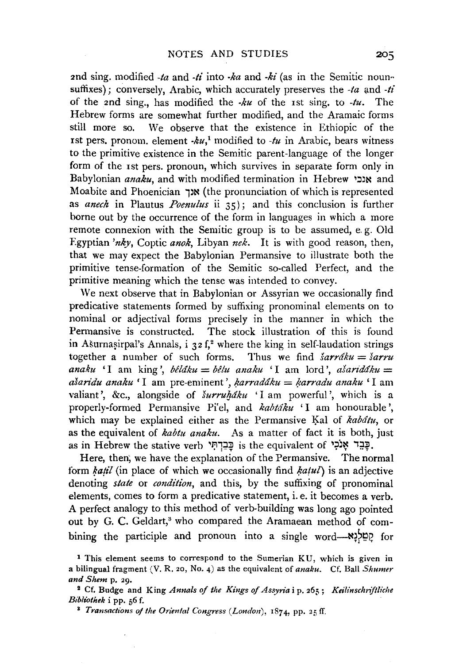2nd sing. modified *-ta* and *-/£* into *·ka* and *-ki* (as in the Semitic nounsuffixes); conversely, Arabic, which accurately preserves the  $-ta$  and  $-ti$ of the 2nd sing., has modified the *-ku* of the 1st sing. to *-tu.* The Hebrew forms are somewhat further modified, and the Aramaic forms still more so. We observe that the existence in Ethiopic of the rst pers. pronom. element  $-ku$ ,<sup>1</sup> modified to  $-tu$  in Arabic, bears witness to the primitive existence in the Semitic parent-language of the longer form of the 1st pers. pronoun, which survives in separate form only in Babylonian *anaku,* and with modified termination in Hebrew ~~~~ and Moabite and Phoenician 1~~ (the pronunciation of which is represented as *anech* in Plautus *Poenulus* ii 35) ; and this conclusion is further borne out by the occurrence of the form in languages in which a more remote connexion with the Semitic group is to be assumed, e. g. Old Egyptian *'nky,* Coptic *anok,* Libyan *nek.* It is with good reason, then, that we may expect the Babylonian Permansive to illustrate both the primitive tense-formation of the Semitic so-called Perfect, and the primitive meaning which the tense was intended to convey.

We next observe that in Babylonian or Assyrian we occasionally find predicative statements formed by suffixing pronominal elements on to nominal or adjectival forms precisely in the manner in which the Permansive is constructed. The stock illustration of this is found in Ašurnasirpal's Annals, i 32 f,<sup>2</sup> where the king in self-laudation strings together a number of such forms. Thus we find *sarrdku* = *sarru anaku* 'I am king', *bêláku* = *bêlu anaku* 'I am lord', *ašaridáku* = *asan'du anaku* 'I am pre-eminent', *l;.arraddku* = */jarradu anaku* 'I am valiant', &c., alongside of *šurruháku* 'I am powerful', which is a properly-formed Permansive Pi'el, and *kabtáku* 'I am honourable', which may be explained either as the Permansive Kal of *kabatu*, or as the equivalent of *kabtu anaku.* As a matter of fact it is both, just as in Hebrew the stative verb בַּבְרָתִּי is the equivalent of 'פָבִר אָנֹכִי

Here, then; we have the explanation of the Permansive. The normal form *katil* (in place of which we occasionally find *katul*) is an adjective denoting *state* or *condition,* and this, by the suffixing of pronominal elements, comes to form a predicative statement, i.e. it becomes a verb. A perfect analogy to this method of verb-building was long ago pointed out by G. C. Geldart,<sup>3</sup> who compared the Aramaean method of combining the participle and pronoun into a single word- $\frac{N!}{N!}$  for

<sup>1</sup> This element seems to correspond to the Sumerian KU, which is given in a bilingual fragment (V. R. 20, No. 4) as the equivalent of *anaku.* Cf. Ball *Shumer and Shem* p. 29.

<sup>~</sup>Cf. Budge and King *Annals of the Kings of Assyria* i p. 265; *Keilinschnftliche Bibliothek* i pp. 56 f.

<sup>&</sup>lt;sup>3</sup> *Transactions of the Oriental Congress (London)*,  $1874$ , pp. 25 ff.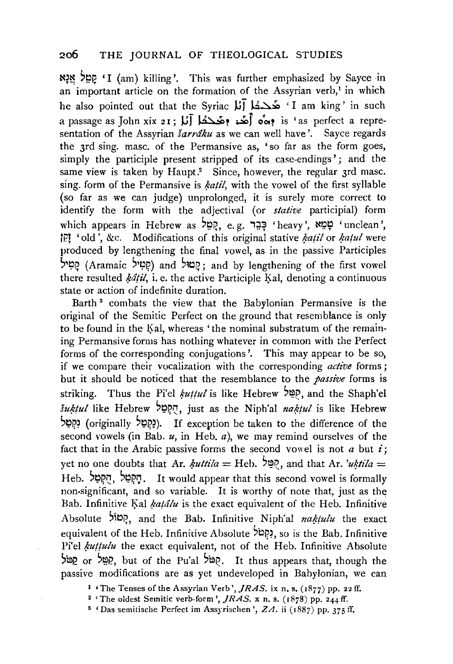## 2o6 THE JOURNAL OF THEOLOGICAL STUDIES

N~~ ~~P. 'I (am) killing'. This was further emphasized by Sayee in an important article on the formation of the Assyrian verb,<sup>1</sup> in which he also pointed out that the Syriac  $\sharp \tilde{J}$  ) هُدَّكُمْ  $\check{I}$  am king' in such a passage as John xix 21; (أَهُد: وهُدِكُمْ آلاً a passage as John xix 21; U sentation of the Assyrian *sarraku* as we can well have'. Sayee regards the 3rd sing. masc. of the Permansive as, 'so far as the form goes, simply the participle present stripped of its case-endings'; and the same view is taken by Haupt.<sup>2</sup> Since, however, the regular 3rd masc. sing. form of the Permansive is *katil*, with the vowel of the first syllable (so far as we can judge) unprolonged, it is surely more correct to identify the form with the adjectival (or *stative* participial) form which appears in Hebrew as יְפָבֵר e.g. יָקָמֵל 'heavy', שְׁמֵא 'unclean', 1Pl 'old ', &c. Modifications of this original stative *katil* or *katul* were produced by lengthening the final vowel, as in the passive Participles ~'I;'P, (Aramaic ~'!;'~) and ~~~~; and by lengthening of the first vowel there resulted *katil*, i. e. the active Participle Kal, denoting a continuous state or action of indefinite duration.

Barth<sup>3</sup> combats the view that the Babylonian Permansive is the original of the Semitic Perfect on the ground that resemblance is only to be found in the Kal, whereas 'the nominal substratum of the remaining Permansive forms has nothing whatever in common with the Perfect forms of the corresponding conjugations'. This may appear to be so, if we compare their vocalization with the corresponding *active* forms; but it should be noticed that the resemblance to the *passive* forms is striking. Thus the Pi'el *\*uttul* is like Hebrew ~~~'and the Shaph'el  $\delta$ *uktul* like Hebrew הִקְטַל, just as the Niph'al *naktul* is like Hebrew s~~~ (originally ~!;;)~~). if exception be taken to the difference of the second vowels (in Bab. *u,* in Heb. a), we may remind ourselves of the fact that in the Arabic passive forms the second vowel is not  $a$  but  $i$ ; yet no one doubts that Ar. *kuttila* = Heb.  $\frac{600}{90}$ , and that Ar. *'uktila* = Heb. הַקְטֵל הִקִטּל, Tt would appear that this second vowel is formally non-significant, and so variable. It is worthy of note that, just as the Bab. Infinitive Kal *katalu* is the exact equivalent of the Heb. Infinitive Absolute <sup>אָסוֹל</sup>, and the Bab. Infinitive Niph'al *naktulu* the exact equivalent of the Heb. Infinitive Absolute  $\frac{\delta p}{p}$ , so is the Bab. Infinitive Pi'el *kuttulu* the exact equivalent, not of the Heb. Infinitive Absolute )mj? or )~i?, but of the Pu'al ~il1Q. It thus appears that, though the passive modifications are as yet undeveloped in Babylonian, we can

<sup>1 &#</sup>x27;The Tenses of the Assyrian Verb', *JRAS.* ix n. s. (1877) pp. 22 ff.

<sup>2</sup>'The oldest Semitic verb-form', *JRAS.* x n. s. (1878) pp. 244 ff.

<sup>&</sup>lt;sup>3</sup> 'Das semitische Perfect im Assyrischen ',  $ZA$ . ii (1887) pp. 375 ff.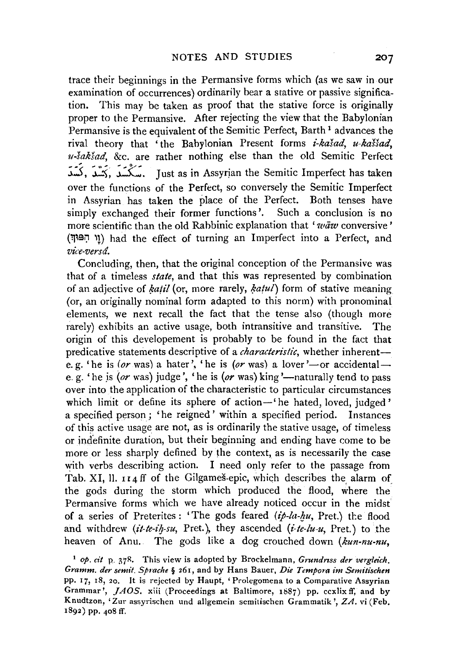trace their beginnings in the Permansive forms which (as we saw in our examination of occurrences) ordinarily bear a stative or passive signification. This may be taken as proof that the stative force is originally proper to the Permansive. After rejecting the view that the Babylonian Permansive is the equivalent of the Semitic Perfect, Barth<sup>1</sup> advances the rival theory that 'the Babylonian Present forms *i-kašad*, *u-kaššad*, *u-saksad,* &c. are rather nothing else than the old Semitic Perfect مَكْتُمَدَ ,كَيْتُمْدَ ,كَيْتُمْدَ ,كَيْتُمْدَ ,كَيْتُمْدَ ,كَيْتُمْدَ ,كَيْتُمْدَ , $\sim$ over the functions of the Perfect, so conversely the Semitic Imperfect in Assyrian has taken the place of the Perfect. Both tenses have simply exchanged their former functions'. Such a conclusion is no more scientific than the old Rabbinic explanation that 'waw conversive' ('J~9;:J 'n had the effect of turning an Imperfect into a Perfect, and *vice-versd.* 

Concluding, then, that the original conception of the Permansive was that of a timeless *state,* and that this was represented by combination of an adjective of *katil* (or, more rarely, *katul*) form of stative meaning (or, an originally nominal form adapted to this norm) with pronominal elements, we next recall the fact that the tense also (though more rarely) exhibits an active usage, both intransitive and transitive. The origin of this developement is probably to be found in the fact that predicative statements descriptive of a *characteristic*, whether inherente. g. 'he is *(or* was) a hater', 'he is *(or* was) a lover '-or accidentale. g. 'he is  $(or$  was) judge', 'he is  $(or$  was) king '--naturally tend to pass over into the application of the characteristic to particular circumstances which limit or define its sphere of action-'he hated, loved, judged' a specified person ; 'he reigned' within a specified period. Instances of this active usage are not, as is ordinarily the stative usage, of timeless or indefinite duration, but their beginning and ending have come to be more or less sharply defined by the context, as is necessarily the case with verbs describing action. I need only refer to the passage from Tab. XI, ll. 114 ff of the Gilgames-epic, which describes the alarm of the gods during the storm which produced the flood, where the Permansive forms which we have already noticed occur in the midst of a series of Preterites: 'The gods feared *(ip-la-hu*, Pret.) the flood and withdrew *(it-te-ih-su*, Pret.), they ascended *(i-te-lu-u, Pret.)* to the heaven of Anu. The gods like a dog crouched down *(kun-nu-nu,* 

<sup>&</sup>lt;sup>1</sup> op. cit **p.** 378. This view is adopted by Brockelmann, *Grundriss der vergleich*. *Gramm. der semit. Spmche* § 261, and by Hans Bauer, *Die Tempora im Semitischen*  pp. 17, 18, 20. It is rejected by Haupt, 'Prolegomena to a Comparative Assyrian Grammar', *JAOS.* xiii (Proceedings at Baltimore, 1887) pp. ccxlix ff, and by Knudtzon, 'Zur assyrischen und allgemein semitischen Grammatik ', ZA. vi (Feb. 1892) pp. 408 ff.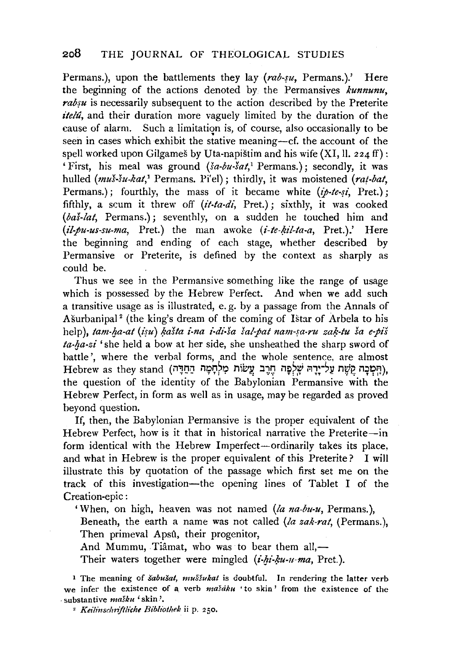Permans.), upon the battlements they lay *(rab-fu,* Permans.).' Here the beginning of the actions denoted by the Permansives *kunnunu,*  rabsu is necessarily subsequent to the action described by the Preterite *itelu,* and their duration more vaguely limited by the duration of the cause of alarm. Such a limitation is, of course, also occasionally to be seen in cases which exhibit the stative meaning-cf. the account of the spell worked upon Gilgames by Uta-napistim and his wife  $(XI, II, 224 \text{ ff})$ : 'First, his meal was ground *(sa-bu-sat,'* Permans.); secondly, it was hulled *(mus-su-kat,*<sup>1</sup> Permans. Pi'el); thirdly, it was moistened *(rat-bat,* Permans.); fourthly, the mass of it became white  $(ip-te-si$ , Pret.); fifthly, a scum it threw off *(it-ta-di,* Pret.); sixthly, it was cooked *(bas-lat,* Permans.); seventhly, on a sudden he touched him and *(il.pu-us-su-ma,* Pret.) the man awoke *(i-te-l;u'l-ta-a,* Pret.).' Here the beginning and ending of each stage, whether described by Permansive or Preterite, is defined by the context as sharply as could be.

Thus we see in the Permansive something like the range of usage which is possessed by the Hebrew Perfect. And when we add such a transitive usage as is illustrated, e. g. by a passage from the Annals of Ašurbanipal<sup>2</sup> (the king's dream of the coming of Istar of Arbela to his help), *tam-ha-at* (isu) *kašta i-na i-di-ša šal-pat nam-sa-ru zak-tu ša e-piš* ta-ha-zi 'she held a bow at her side, she unsheathed the sharp sword of battle', where the verbal forms, and the whole sentence, are almost Hebrew as they stand (הִמְבָה קֵשֶׁת עֲלִייָרָהּ שֶׁלִפְה חֵרֶב עֲשׂוֹת מִלְחָמָה הַחַדָּה), the question of the identity of the Babylonian Permansive with the Hebrew Perfect, in form as well as in usage, may be regarded as proved beyond question.

If, then, the Babylonian Permansive is the proper equivalent of the Hebrew Perfect, how is it that in historical narrative the Preterite-in form identical with the Hebrew Imperfect-ordinarily takes its place, and what in Hebrew is the proper equivalent of this Preterite? I will illustrate this by quotation of the passage which first set me on the track of this investigation-the opening lines of Tablet I of the Creation-epic :

'When, on high, heaven was not named (/a *na-bu-u,* Permans. ),

Beneath, the earth a name was not called *(la zak-rat,* (Permans.), Then primeval Apsû, their progenitor,

And Mummu, Tiâmat, who was to bear them all,—

Their waters together were mingled *(i-hi-ku-u-ma*, Pret.).

<sup>1</sup> The meaning of *šabušat, muššukat* is doubtful. In rendering the latter verb we infer the existence of a verb *mašaku* 'to skin' from the existence of the . substantive *maJku* 'skin'·

<sup>2</sup> Keilinschriftliche Bibliothek ii p. 250.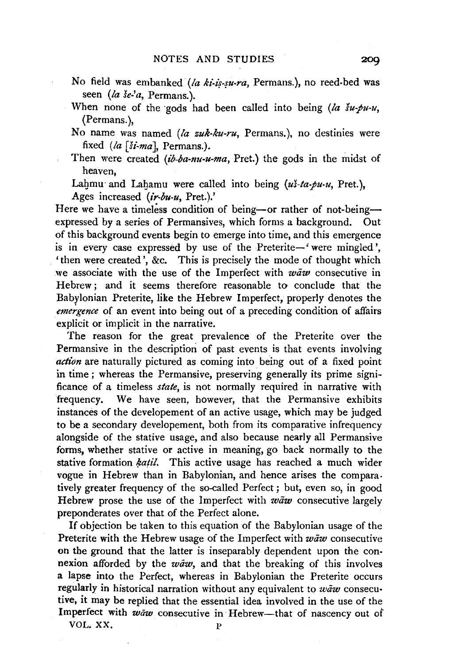- No field was embanked *(la ki-iş-su-ra*, Permans.), no reed-bed was seen *(la se-'a,* Permans.).
- When none of the gods had been called into being  $(a \nvert \nvert u \cdot \nvert u \cdot \nvert u \cdot \nvert u \cdot \nvert u \cdot \nvert u \cdot \nvert u \cdot \nvert u \cdot \nvert u \cdot \nvert u \cdot \nvert u \cdot \nvert u \cdot \nvert u \cdot \nvert u \cdot \nvert u \cdot \nvert u \cdot \nvert u \cdot \nvert u \cdot \nvert u \cdot \nvert u \cdot \nvert u \cdot \nvert u \cdot \nvert u \cdot \nvert u \cdot \nvert u \cdot \nvert u \cdot \nvert u \cdot \nvert u \$ (Permans. ),
- No name was named *(la zuk-ku-ru,* Permans.), no destinies were fixed *(la [Si-ma],* Permans.).
- Then were created *(ib-ba-nu-u-ma*, Pret.) the gods in the midst of heaven,

Lahmu and Lahamu were called into being (us-ta-pu-u, Pret.), Ages increased *(ir-bu-u,* Pret.).'

Here we have a timeless condition of being-or rather of not-beingexpressed by a series of Permansives, which forms a background. Out of this background events begin to emerge into time, and this emergence is in every case expressed by use of the Preterite-' were mingled', 'then were created', &c. This is precisely the mode of thought which we associate with the use of the Imperfect with *waw* consecutive in Hebrew; and it seems therefore reasonable to conclude that the Babylonian Preterite, like the Hebrew Imperfect, properly denotes the *emergence* of an event into being out of a preceding condition of affairs explicit or implicit in the narrative.

The reason for the great prevalence of the Preterite over the Permansive in the description of past events is that events involving *action* are naturally pictured as coming into being out of a fixed point in time ; whereas the Permansive, preserving generally its prime significance of a timeless *state,* is not normally required in narrative with frequency. We have seen, however, that the Permansive exhibits instances of the developement of an active usage, which may be judged to be a secondary developement, both from its comparative infrequency alongside of the stative usage, and also because nearly all Permansive forms, whether stative or active in meaning, go back normally to the stative formation *katil*. This active usage has reached a much wider vogue in Hebrew than in Babylonian, and hence arises the comparatively greater frequency of the so-called Perfect; but, even so, in good Hebrew prose the use of the Imperfect with  $w \bar{a} w$  consecutive largely preponderates over that of the Perfect alone.

If objection be taken to this equation of the Babylonian usage of the Preterite with the Hebrew usage of the Imperfect with *waw* consecutive on the ground that the latter is inseparably dependent upon the connexion afforded by the *waw*, and that the breaking of this involves a lapse into the Perfect, whereas in Babylonian the Preterite occurs regularly in historical narration without any equivalent to waw consecutive, it may be replied that the essential idea involved in the use of the Imperfect with waw consecutive in Hebrew-that of nascency out of

VOL.XX, p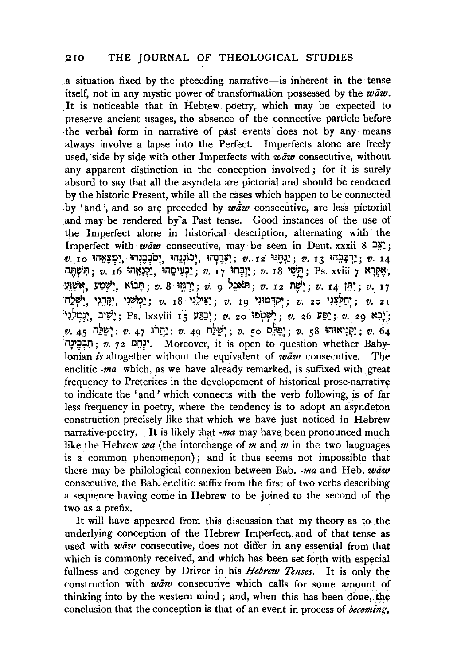,.a situation fixed by the preceding narrative-is inherent in the tense itself, not in any mystic power of transformation possessed by the  $w\bar{a}w$ . It is noticeable that in Hebrew poetry, which may be expected to preserve ancient usages, the absence of the connective particle before the verbal form in narrative of past events does not by any means always involve a lapse into the Perfect. Imperfects alone are freely used, side by side with other Imperfects with  $waw$  consecutive, without any apparent distinction in the conception involved; for it is surely absurd to say that all the asyndeta are pictorial and should be rendered by the historic Present, while all the cases which happen to be connected by 'and', and so are preceded by  $wdw$  consecutive, are less pictorial and may be rendered by a Past tense. Good instances of the use of the Imperfect alone in historical description, alternating with the Imperfect with waw consecutive, may be seen in Deut. xxxii 8  $2\frac{30}{2}$ ;  $v.$  **10 17 10 17 10 16 17 17: יוֹנְ**יָהוּ;  $v.$  12 יִ $v.$  13 ' $v.$ ;  $v.$  14 ' $v.$ יִתְּאֶרְא , *v.* 16 יִחֲשָׁתֶּה; *v.* 18 'חֲשָׁי, *v. 18 'יַקְנָאֲהוּ*; Ps. xviii 7 יָאֲקָתּ; ַ שְׁמַע, שִׁטַע, אוֹבָל  $v. 8$  יִרְגְּוֹי  $v. 9$ . אֲשׁוֹע:  $v. 12$  יִלְ $v. 14$   $v$ :  $v. 17$ n;~~. '11:1~~. 1~1?~; *v.* r8 '~.?~~~; *v.* 19 ~~~~"1i2;; *v.* 20 ~~~?t:~;; *v.* 2I ~.?1?1~, ::1'~:; Ps. lxxviii IS ll~~;; *v.* 20 ~Elip~~; *v.* 26 ll~~; *v.* 29 N~~; *.v.* 4s n~~;; *v* 47 )"lq~; *v.* 49 n~~;; *v.* so c.~~;; *v.* 58 ~mN~~~~; *v.* <sup>64</sup> i1~ ~rJ:l; *v.* 7 <sup>2</sup>C!:lt~· Moreover, it is open to question whether Bahylonian *is* altogether without the equivalent of waw consecutive. The enclitic  $ma$  which, as we have already remarked, is suffixed with .great frequency to Preterites in the developement of historical prose-narrative to indicate the 'and ' which connects with the verb following, is of far less frequency in poetry, where the tendency is to adopt an asyndeton construction precisely like that which we have just noticed in Hebrew narrative-poetry. It is likely that  $-ma$  may have been pronounced much like the Hebrew  $wa$  (the interchange of  $m$  and  $w$  in the two languages is a common phenomenon); and. it thus seems not impossible that there may be philological connexion between Bab.  $-ma$  and Heb.  $w\bar{a}w$ consecutive, the Bab. enclitic suffix from the first of two verbs describing a sequence having come in Hebrew to be joined to the second of thp two as a prefix.

It will have appeared from this discussion that my theory as to the underlying conception of the Hebrew Imperfect, and of that tense as used with  $w\bar{a}w$  consecutive, does not differ in any essential from that which is commonly received, and which has been set forth with especial fullness and cogency by Driver in his *Hebrew Tenses*. It is only the construction with  $w \bar{a} w$  consecutive which calls for some amount of thinking into by the western mind; and, when this has been done, the conclusion that the conception is that of an event in process of *becoming,*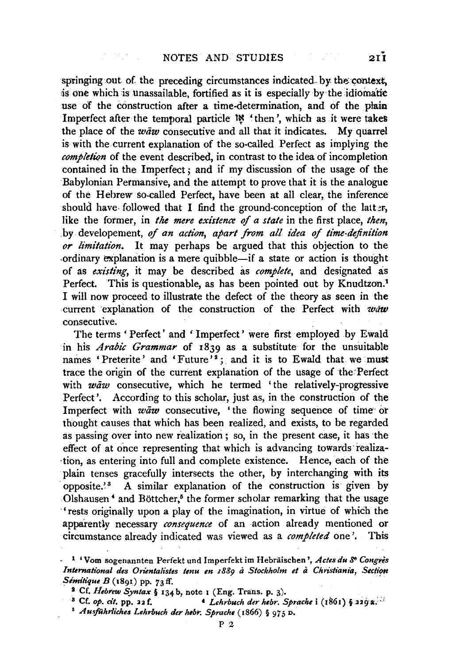springing out of the preceding circumstances indicated by the context, is one which is unassailable, fortified as it is especially by the idiomatic use of the construction after a time-determination, and of the plain Imperfect after the temporal particle  $\mathcal{W}$  'then', which as it were takes the place of the  $w\bar{a}w$  consecutive and all that it indicates. My quarrel is with the current explanation of the so-called Perfect as implying the *completion* of the event described, in contrast to the idea of incompletion contained in the Imperfect ; and if my discussion of the usage of the Babylonian Permansive, and the attempt to prove that it is the analogue of the Hebrew so-called Perfect, have been at all clear, the inference should have followed that I find the ground-conception of the latter, like the former, in *the mere existence of a state* in the first place, *then*, .by developement, *of an action, apart from all idea of time-definition or limitation.* It may perhaps be argued that this objection to the ordinary explanation is a mere quibble—if a state or action is thought of as *existing,* it may be described as *complete,* and designated as Perfect. This is questionable, as has been pointed out by Knudtzon.<sup>1</sup> I will now proceed to illustrate the defect of the theory as seen in the current explanation of the construction of the Perfect with  $waw$ consecutive.

The terms ' Perfect' and ' Imperfect' were first employed by Ewald in his *Arabic Grammar* of 1839 as a substitute for the unsuitable names 'Preterite' and 'Future'<sup>2</sup>; and it is to Ewald that we must trace the origin of the current explanation of the usage of the·Perfect with  $w\bar{a}w$  consecutive, which he termed 'the relatively-progressive Perfect'. According to this scholar, just as, in the construction of the Imperfect with  $waw$  consecutive, 'the flowing sequence of time or thought causes that which has been realized, and exists, to be regarded as passing over into new realization ; so, in the present case, it has the effect of at once representing that which is advancing towards realiza- ·tion, as entering into full and complete existence. Hence, each of the plain tenses gracefully intersects the other, by interchanging with its opposite.<sup>23</sup> A similar explanation of the construction is given by Olshausen<sup>4</sup> and Böttcher,<sup>5</sup> the former scholar remarking that the usage ·'rests originally upon a play of the imagination, in virtue of which the apparently necessary *consequence* of an action already mentioned or circumstance already indicated was viewed as a *completed* one'. This

<sup>·</sup> 1 'Vom sogenannten Perfekt und lmperfekt im Hebraischen ', *Actes du* se *Congiis International des Orientalistes tenu en 1880 à Stockholm et à Christiania, Section Sémitique B* (1891) pp. 73 ff.<br><sup>2</sup> Cf. *Hebrew Syntax* § 134 b, note 1 (Eng. Trans. p. 3).

<sup>&</sup>lt;sup>8</sup> Cf. *op. cit.* pp. 22 f. 4 *Lehrbuch der hebr. Sprache* i (1861) § 229 a.

<sup>•</sup> *Ausj'Uhrliche& Lehrbuch der Mbr. Sprache* ( 1866) § 97 *5* D.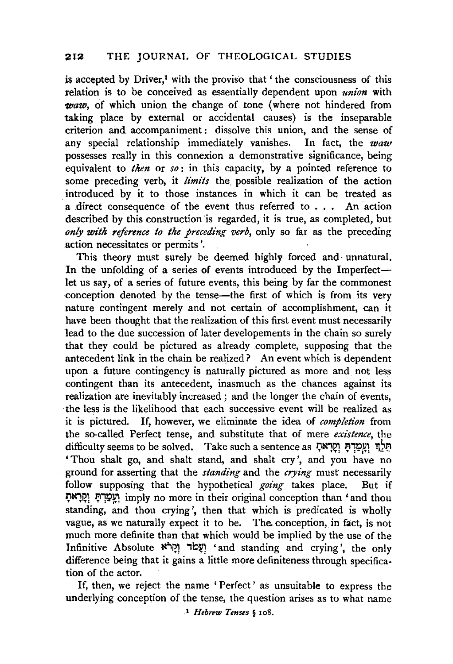## **212** THE JOURNAL OF THEOLOGICAL STUDIES

is accepted by Driver,<sup> $1$ </sup> with the proviso that ' the consciousness of this relation is to be conceived as essentially dependent upon *union* with *waw,* of which union the change of tone (where not hindered from taking place by external or accidental causes) is the inseparable criterion and accompaniment: dissolve this union, and the sense of any special relationship immediately vanishes. In fact, the *waw*  possesses really in this connexion a demonstrative significance, being equivalent to *then* or *so:* in this capacity, by a pointed reference to some preceding verb, it *limits* the\_ possible realization of the action introduced by it to those instances in which it can be treated as a direct consequence of the event thus referred to . . . An action described by this construction 'is regarded, it is true, as completed, but *only with reference to the preceding verb,* only so far as the preceding action necessitates or permits'.

This theory must surely be deemed highly forced and unnatural. In the unfolding of a series of events introduced by the Imperfectlet us say, of a series of future events, this being by far the commonest conception denoted by the tense—the first of which is from its very nature contingent merely and not certain of accomplishment, can it have been thought that the realization of this first event must necessarily lead to the due succession of later developements in the chain so surely that they could be pictured as already complete, supposing that the antecedent link in the chain be realized? An event which is dependent upon a future contingency is naturally pictured as more and not less contingent than its antecedent, inasmuch as the chances against its realization are inevitably increased; and the longer the chain of events, the less is the likelihood that each successive event will be realized as it is pictured. If, however, we eliminate the idea of *completion* from the so-called Perfect tense, and substitute that of mere *existence,* the difficulty seems to be solved. Take such a sentence as תַּלְךָ וְעָמַדְתָּ וְקַרָאתָ 'Thou shalt go, and shalt stand, and shalt cry ', and you have no ground for asserting that the *standing* and the *crying* musr necessarily follow supposing that the hypothetical *going* takes place. But if ~tcl~1 J;l1~1!1 imply no more in their original conception than 'and thou standing, and thou crying', then that which is predicated is wholly vague, as we naturally expect it to be. The conception, in fact, is not much more definite than that which would be implied by the use of the Infinitive Absolute 'עֲלֹוּ 'and standing and crying', the only difference being that it gains a little more definiteness through specification of the actor.

If, then, we reject the name 'Perfect' as unsuitable to express the underlying conception of the tense, the question arises as to what name

1 *Hebrew Tenses* § 108.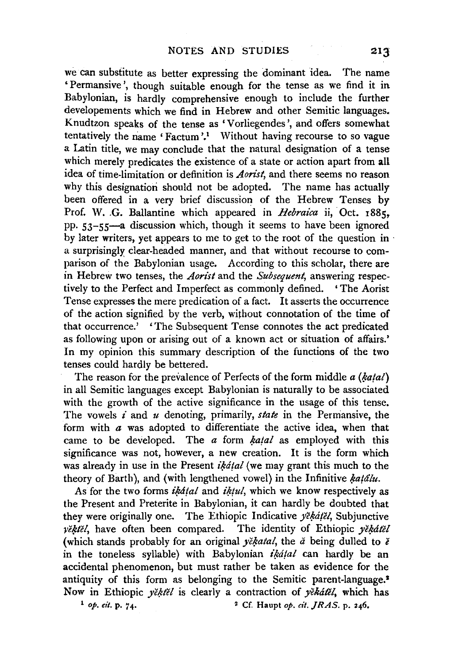we can substitute as better expressing the dominant idea. The name 'Permansive ', though suitable enough for the tense as we find it in Babylonian, is hardly comprehensive enough to include the further developements which we find in Hebrew and other Semitic languages. Knudtzon speaks of the tense as 'Vorliegendes ', and offers somewhat tentatively the name 'Factum'.<sup>1</sup> Without having recourse to so vague a Latin title, we may conclude that the natural designation of a tense which merely predicates the existence of a state or action apart from all idea of time-limitation or definition is *Aorist,* and there seems no reason why this designation should not be adopted. The name has actually been offered in a very brief discussion of the Hebrew Tenses by Prof. W. G. Ballantine which appeared in *Hebraica* ii, Oct. x885, pp. 53-55-a discussion which, though it seems to have been ignored by later writers, yet appears to me to get to the root of the question in · a surprisingly clear-headed manner, and that without recourse to comparison of the Babylonian usage. According to this scholar, there are in Hebrew two tenses, the *Aorist* and the *Subsequent,* answering respectively to the Perfect and Imperfect as commonly defined. 'The Aorist Tense expresses the mere predication of a fact. It asserts the occurrence of the action signified by the verb, without connotation of the time of that occurrence.' 'The Subsequent Tense connotes the act predicated as following upon or arising out of a known act or situation of affairs.' In my opinion this summary description of the functions of the two tenses could hardly be bettered.

The reason for the prevalence of Perfects of the form middle *a* (katal) in all Semitic languages except Babylonian is naturally to be associated with the growth of the active significance in the usage of this tense. The vowels *i* and *u* denoting, primarily, *state* in the Permansive, the form with  $a$  was adopted to differentiate the active idea, when that came to be developed. The  $a$  form  $katal$  as employed with this significance was not, however, a new creation. It is the form which was already in use in the Present  $ik\acute{a}tal$  (we may grant this much to the theory of Barth), and (with lengthened vowel) in the Infinitive hatalu.

As for the two forms *ikatal* and *iktul*, which we know respectively as the Present and Preterite in Babylonian, it can hardly be doubted that they were originally one. The Ethiopic Indicative *yekatel*, Subjunctive vektel, have often been compared. The identity of Ethiopic vekatel (which stands probably for an original  $y\check{e}$ *katal*, the  $\check{a}$  being dulled to  $\check{e}$ in the toneless syllable) with Babylonian *ikatal* can hardly be an accidental phenomenon, but must rather be taken as evidence for the antiquity of this form as belonging to the Semitic parent-language.<sup>3</sup> Now in Ethiopic *yě, těl* is clearly a contraction of *yě kátěl*, which has <sup>1</sup> *op. cit.* p. 74. <sup>2</sup> Cf. Haupt *op. cit. JRAS.* p. 246.